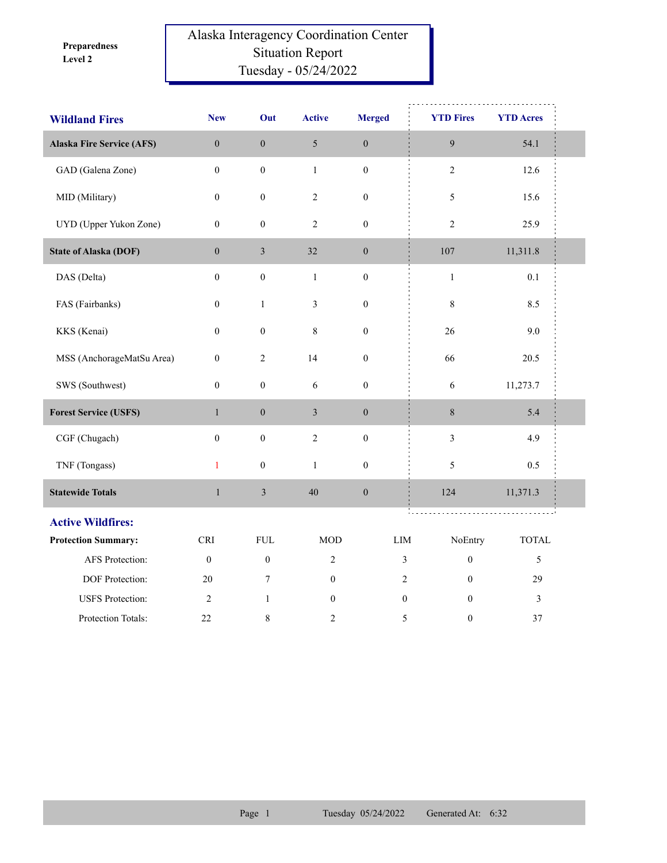**Level 2 Preparedness** 

## Alaska Interagency Coordination Center Situation Report Tuesday - 05/24/2022

| <b>Wildland Fires</b>            | <b>New</b>       | Out              | <b>Active</b>    | <b>Merged</b>               | <b>YTD Fires</b>                   | <b>YTD</b> Acres |
|----------------------------------|------------------|------------------|------------------|-----------------------------|------------------------------------|------------------|
| <b>Alaska Fire Service (AFS)</b> | $\boldsymbol{0}$ | $\boldsymbol{0}$ | $\sqrt{5}$       | $\boldsymbol{0}$            | $\boldsymbol{9}$                   | 54.1             |
| GAD (Galena Zone)                | $\boldsymbol{0}$ | $\boldsymbol{0}$ | $\mathbf{1}$     | $\boldsymbol{0}$            | $\sqrt{2}$                         | 12.6             |
| MID (Military)                   | $\boldsymbol{0}$ | $\boldsymbol{0}$ | $\overline{c}$   | $\boldsymbol{0}$            | 5                                  | 15.6             |
| UYD (Upper Yukon Zone)           | $\boldsymbol{0}$ | $\boldsymbol{0}$ | $\mathfrak{2}$   | $\boldsymbol{0}$            | $\overline{2}$                     | 25.9             |
| <b>State of Alaska (DOF)</b>     | $\boldsymbol{0}$ | $\mathfrak{Z}$   | 32               | $\boldsymbol{0}$            | 107                                | 11,311.8         |
| DAS (Delta)                      | $\boldsymbol{0}$ | $\boldsymbol{0}$ | $\mathbf{1}$     | $\boldsymbol{0}$            | $\,1\,$                            | 0.1              |
| FAS (Fairbanks)                  | $\boldsymbol{0}$ | $\mathbf{1}$     | $\mathfrak{Z}$   | $\boldsymbol{0}$            | $\,$ 8 $\,$                        | 8.5              |
| KKS (Kenai)                      | $\boldsymbol{0}$ | $\boldsymbol{0}$ | $\,8\,$          | $\boldsymbol{0}$            | 26                                 | 9.0              |
| MSS (AnchorageMatSu Area)        | $\boldsymbol{0}$ | $\overline{c}$   | 14               | $\boldsymbol{0}$            | 66                                 | 20.5             |
| SWS (Southwest)                  | $\boldsymbol{0}$ | $\boldsymbol{0}$ | 6                | $\boldsymbol{0}$            | 6                                  | 11,273.7         |
| <b>Forest Service (USFS)</b>     | $\mathbf{1}$     | $\boldsymbol{0}$ | $\mathfrak{Z}$   | $\boldsymbol{0}$            | $\,8\,$                            | 5.4              |
| CGF (Chugach)                    | $\mathbf{0}$     | $\boldsymbol{0}$ | $\sqrt{2}$       | $\boldsymbol{0}$            | $\mathfrak{Z}$                     | 4.9              |
| TNF (Tongass)                    | $\mathbf{1}$     | $\boldsymbol{0}$ | $\mathbf{1}$     | $\boldsymbol{0}$            | 5                                  | 0.5              |
| <b>Statewide Totals</b>          | $\mathbf{1}$     | $\mathfrak{Z}$   | 40               | $\boldsymbol{0}$            | 124                                | 11,371.3         |
| <b>Active Wildfires:</b>         |                  |                  |                  |                             | ÷.                                 |                  |
| <b>Protection Summary:</b>       | <b>CRI</b>       | <b>FUL</b>       | <b>MOD</b>       | $\mathop{\rm LIM}\nolimits$ | NoEntry                            | <b>TOTAL</b>     |
| AFS Protection:                  | $\boldsymbol{0}$ | $\mathbf{0}$     | $\overline{2}$   |                             | $\mathfrak{Z}$<br>$\boldsymbol{0}$ | $\sqrt{5}$       |
| DOF Protection:                  | 20               | 7                | $\mathbf{0}$     |                             | $\sqrt{2}$<br>$\theta$             | 29               |
| <b>USFS</b> Protection:          | $\overline{c}$   | $\mathbf{1}$     | $\boldsymbol{0}$ |                             | $\boldsymbol{0}$<br>$\mathbf{0}$   | $\mathfrak{Z}$   |
| Protection Totals:               | 22               | 8                | 2                |                             | 5<br>$\boldsymbol{0}$              | 37               |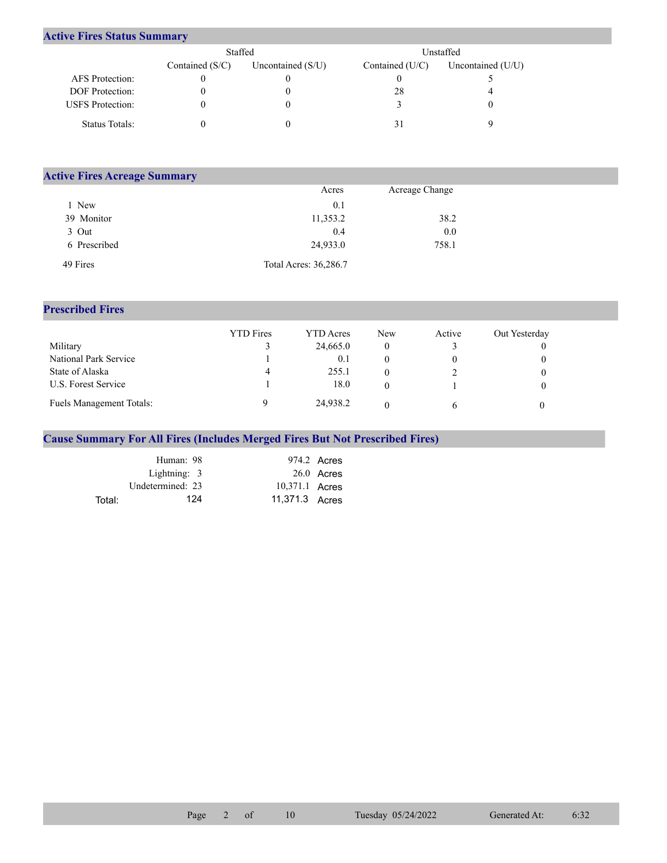## **Active Fires Status Summary**

|                         | Staffed           |                     | Unstaffed       |                     |  |
|-------------------------|-------------------|---------------------|-----------------|---------------------|--|
|                         | Contained $(S/C)$ | Uncontained $(S/U)$ | Contained (U/C) | Uncontained $(U/U)$ |  |
| AFS Protection:         |                   |                     |                 |                     |  |
| <b>DOF</b> Protection:  |                   |                     | 28              |                     |  |
| <b>USFS</b> Protection: |                   |                     |                 |                     |  |
| Status Totals:          |                   |                     |                 |                     |  |

| <b>Active Fires Acreage Summary</b> |                       |                |  |  |  |  |
|-------------------------------------|-----------------------|----------------|--|--|--|--|
|                                     | Acres                 | Acreage Change |  |  |  |  |
| New                                 | 0.1                   |                |  |  |  |  |
| 39 Monitor                          | 11,353.2              | 38.2           |  |  |  |  |
| 3 Out                               | 0.4                   | 0.0            |  |  |  |  |
| 6 Prescribed                        | 24,933.0              | 758.1          |  |  |  |  |
| 49 Fires                            | Total Acres: 36,286.7 |                |  |  |  |  |

## **Prescribed Fires**

|                                 | <b>YTD</b> Fires | YTD Acres | New | Active | Out Yesterday |
|---------------------------------|------------------|-----------|-----|--------|---------------|
| Military                        |                  | 24,665.0  |     |        |               |
| National Park Service           |                  | 0.1       |     |        |               |
| State of Alaska                 | 4                | 255.1     |     |        |               |
| U.S. Forest Service             |                  | 18.0      |     |        |               |
| <b>Fuels Management Totals:</b> |                  | 24,938.2  |     |        |               |

## **Cause Summary For All Fires (Includes Merged Fires But Not Prescribed Fires)**

|        | Human: 98        |                | 974.2 Acres  |
|--------|------------------|----------------|--------------|
|        | Lightning: 3     |                | $26.0$ Acres |
|        | Undetermined: 23 | 10,371.1 Acres |              |
| Total: | 124              | 11,371.3 Acres |              |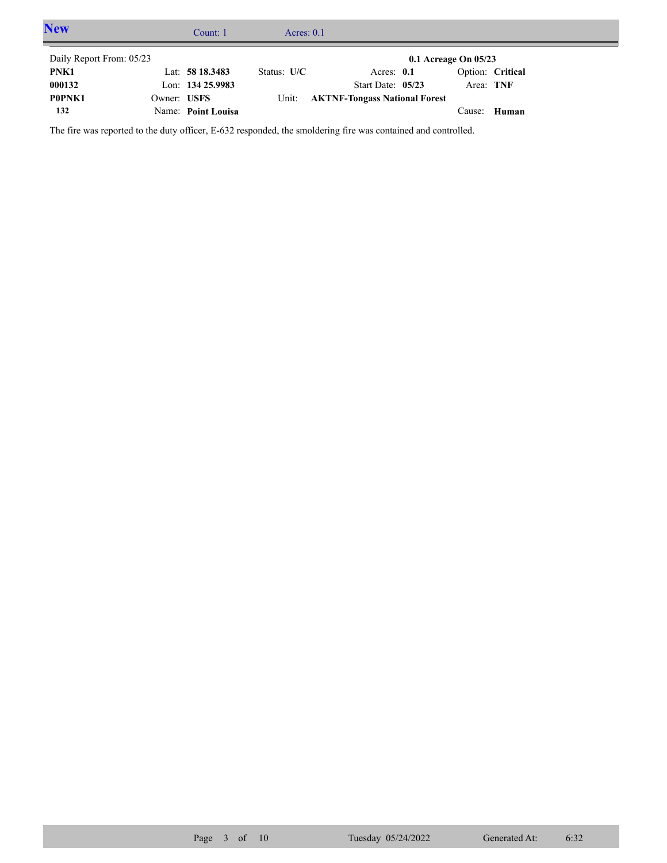| <b>New</b>               |             | Count: 1           | Acres: $0.1$  |                                      |                          |                  |  |
|--------------------------|-------------|--------------------|---------------|--------------------------------------|--------------------------|------------------|--|
| Daily Report From: 05/23 |             |                    |               |                                      | $0.1$ Acreage On $05/23$ |                  |  |
| PNK1                     |             | Lat: $5818.3483$   | Status: $U/C$ | Acres: $0.1$                         |                          | Option: Critical |  |
| 000132                   |             | Lon: 134 25.9983   |               | Start Date: $05/23$                  | Area: TNF                |                  |  |
| P0PNK1                   | Owner: USFS |                    | Unit:         | <b>AKTNF-Tongass National Forest</b> |                          |                  |  |
| 132                      |             | Name: Point Louisa |               |                                      | Cause:                   | Human            |  |

The fire was reported to the duty officer, E-632 responded, the smoldering fire was contained and controlled.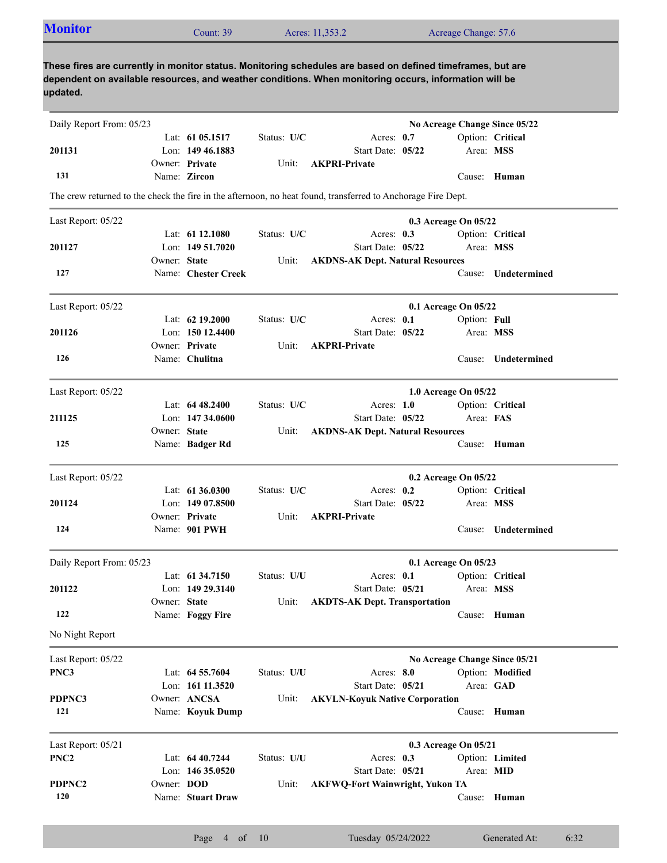|                          | Count: 39 |                                                                                                                                                                                                                                                                                                                                                                                                                                                                                                                                                                                                        |                                                                     |                 |                                                                      |                                                                                                                                                                                                                                                                                                  |                                                                                                                                                                                                                                                                                                                                                                                                                                                                                                                                                                                                                                                                                                                                                                                                                                                                                                                                            |
|--------------------------|-----------|--------------------------------------------------------------------------------------------------------------------------------------------------------------------------------------------------------------------------------------------------------------------------------------------------------------------------------------------------------------------------------------------------------------------------------------------------------------------------------------------------------------------------------------------------------------------------------------------------------|---------------------------------------------------------------------|-----------------|----------------------------------------------------------------------|--------------------------------------------------------------------------------------------------------------------------------------------------------------------------------------------------------------------------------------------------------------------------------------------------|--------------------------------------------------------------------------------------------------------------------------------------------------------------------------------------------------------------------------------------------------------------------------------------------------------------------------------------------------------------------------------------------------------------------------------------------------------------------------------------------------------------------------------------------------------------------------------------------------------------------------------------------------------------------------------------------------------------------------------------------------------------------------------------------------------------------------------------------------------------------------------------------------------------------------------------------|
|                          |           |                                                                                                                                                                                                                                                                                                                                                                                                                                                                                                                                                                                                        |                                                                     |                 |                                                                      |                                                                                                                                                                                                                                                                                                  |                                                                                                                                                                                                                                                                                                                                                                                                                                                                                                                                                                                                                                                                                                                                                                                                                                                                                                                                            |
| Daily Report From: 05/23 |           |                                                                                                                                                                                                                                                                                                                                                                                                                                                                                                                                                                                                        |                                                                     |                 |                                                                      |                                                                                                                                                                                                                                                                                                  |                                                                                                                                                                                                                                                                                                                                                                                                                                                                                                                                                                                                                                                                                                                                                                                                                                                                                                                                            |
|                          |           | Status: U/C                                                                                                                                                                                                                                                                                                                                                                                                                                                                                                                                                                                            |                                                                     |                 |                                                                      |                                                                                                                                                                                                                                                                                                  | Option: Critical                                                                                                                                                                                                                                                                                                                                                                                                                                                                                                                                                                                                                                                                                                                                                                                                                                                                                                                           |
|                          |           |                                                                                                                                                                                                                                                                                                                                                                                                                                                                                                                                                                                                        |                                                                     |                 |                                                                      | Area: MSS                                                                                                                                                                                                                                                                                        |                                                                                                                                                                                                                                                                                                                                                                                                                                                                                                                                                                                                                                                                                                                                                                                                                                                                                                                                            |
|                          |           | Unit:                                                                                                                                                                                                                                                                                                                                                                                                                                                                                                                                                                                                  |                                                                     |                 |                                                                      |                                                                                                                                                                                                                                                                                                  |                                                                                                                                                                                                                                                                                                                                                                                                                                                                                                                                                                                                                                                                                                                                                                                                                                                                                                                                            |
|                          |           |                                                                                                                                                                                                                                                                                                                                                                                                                                                                                                                                                                                                        |                                                                     |                 |                                                                      |                                                                                                                                                                                                                                                                                                  |                                                                                                                                                                                                                                                                                                                                                                                                                                                                                                                                                                                                                                                                                                                                                                                                                                                                                                                                            |
|                          |           |                                                                                                                                                                                                                                                                                                                                                                                                                                                                                                                                                                                                        |                                                                     |                 |                                                                      |                                                                                                                                                                                                                                                                                                  |                                                                                                                                                                                                                                                                                                                                                                                                                                                                                                                                                                                                                                                                                                                                                                                                                                                                                                                                            |
|                          |           |                                                                                                                                                                                                                                                                                                                                                                                                                                                                                                                                                                                                        |                                                                     |                 |                                                                      |                                                                                                                                                                                                                                                                                                  |                                                                                                                                                                                                                                                                                                                                                                                                                                                                                                                                                                                                                                                                                                                                                                                                                                                                                                                                            |
|                          |           | Status: U/C                                                                                                                                                                                                                                                                                                                                                                                                                                                                                                                                                                                            |                                                                     |                 |                                                                      |                                                                                                                                                                                                                                                                                                  | Option: Critical                                                                                                                                                                                                                                                                                                                                                                                                                                                                                                                                                                                                                                                                                                                                                                                                                                                                                                                           |
|                          |           |                                                                                                                                                                                                                                                                                                                                                                                                                                                                                                                                                                                                        |                                                                     |                 |                                                                      | Area: MSS                                                                                                                                                                                                                                                                                        |                                                                                                                                                                                                                                                                                                                                                                                                                                                                                                                                                                                                                                                                                                                                                                                                                                                                                                                                            |
|                          |           | Unit:                                                                                                                                                                                                                                                                                                                                                                                                                                                                                                                                                                                                  |                                                                     |                 |                                                                      |                                                                                                                                                                                                                                                                                                  |                                                                                                                                                                                                                                                                                                                                                                                                                                                                                                                                                                                                                                                                                                                                                                                                                                                                                                                                            |
|                          |           |                                                                                                                                                                                                                                                                                                                                                                                                                                                                                                                                                                                                        |                                                                     |                 |                                                                      |                                                                                                                                                                                                                                                                                                  | Undetermined                                                                                                                                                                                                                                                                                                                                                                                                                                                                                                                                                                                                                                                                                                                                                                                                                                                                                                                               |
|                          |           |                                                                                                                                                                                                                                                                                                                                                                                                                                                                                                                                                                                                        |                                                                     |                 |                                                                      |                                                                                                                                                                                                                                                                                                  |                                                                                                                                                                                                                                                                                                                                                                                                                                                                                                                                                                                                                                                                                                                                                                                                                                                                                                                                            |
|                          |           | Status: U/C                                                                                                                                                                                                                                                                                                                                                                                                                                                                                                                                                                                            |                                                                     |                 |                                                                      | Option: Full                                                                                                                                                                                                                                                                                     |                                                                                                                                                                                                                                                                                                                                                                                                                                                                                                                                                                                                                                                                                                                                                                                                                                                                                                                                            |
|                          |           |                                                                                                                                                                                                                                                                                                                                                                                                                                                                                                                                                                                                        |                                                                     |                 |                                                                      | Area: MSS                                                                                                                                                                                                                                                                                        |                                                                                                                                                                                                                                                                                                                                                                                                                                                                                                                                                                                                                                                                                                                                                                                                                                                                                                                                            |
|                          |           | Unit:                                                                                                                                                                                                                                                                                                                                                                                                                                                                                                                                                                                                  |                                                                     |                 |                                                                      |                                                                                                                                                                                                                                                                                                  |                                                                                                                                                                                                                                                                                                                                                                                                                                                                                                                                                                                                                                                                                                                                                                                                                                                                                                                                            |
|                          |           |                                                                                                                                                                                                                                                                                                                                                                                                                                                                                                                                                                                                        |                                                                     |                 |                                                                      | Cause:                                                                                                                                                                                                                                                                                           | Undetermined                                                                                                                                                                                                                                                                                                                                                                                                                                                                                                                                                                                                                                                                                                                                                                                                                                                                                                                               |
|                          |           |                                                                                                                                                                                                                                                                                                                                                                                                                                                                                                                                                                                                        |                                                                     |                 |                                                                      |                                                                                                                                                                                                                                                                                                  |                                                                                                                                                                                                                                                                                                                                                                                                                                                                                                                                                                                                                                                                                                                                                                                                                                                                                                                                            |
|                          |           |                                                                                                                                                                                                                                                                                                                                                                                                                                                                                                                                                                                                        |                                                                     |                 |                                                                      |                                                                                                                                                                                                                                                                                                  |                                                                                                                                                                                                                                                                                                                                                                                                                                                                                                                                                                                                                                                                                                                                                                                                                                                                                                                                            |
|                          |           |                                                                                                                                                                                                                                                                                                                                                                                                                                                                                                                                                                                                        |                                                                     |                 |                                                                      | Area: FAS                                                                                                                                                                                                                                                                                        |                                                                                                                                                                                                                                                                                                                                                                                                                                                                                                                                                                                                                                                                                                                                                                                                                                                                                                                                            |
|                          |           | Unit:                                                                                                                                                                                                                                                                                                                                                                                                                                                                                                                                                                                                  |                                                                     |                 |                                                                      |                                                                                                                                                                                                                                                                                                  |                                                                                                                                                                                                                                                                                                                                                                                                                                                                                                                                                                                                                                                                                                                                                                                                                                                                                                                                            |
|                          |           |                                                                                                                                                                                                                                                                                                                                                                                                                                                                                                                                                                                                        |                                                                     |                 |                                                                      |                                                                                                                                                                                                                                                                                                  | Cause: Human                                                                                                                                                                                                                                                                                                                                                                                                                                                                                                                                                                                                                                                                                                                                                                                                                                                                                                                               |
|                          |           |                                                                                                                                                                                                                                                                                                                                                                                                                                                                                                                                                                                                        |                                                                     |                 |                                                                      |                                                                                                                                                                                                                                                                                                  |                                                                                                                                                                                                                                                                                                                                                                                                                                                                                                                                                                                                                                                                                                                                                                                                                                                                                                                                            |
|                          |           |                                                                                                                                                                                                                                                                                                                                                                                                                                                                                                                                                                                                        |                                                                     |                 |                                                                      |                                                                                                                                                                                                                                                                                                  |                                                                                                                                                                                                                                                                                                                                                                                                                                                                                                                                                                                                                                                                                                                                                                                                                                                                                                                                            |
|                          |           |                                                                                                                                                                                                                                                                                                                                                                                                                                                                                                                                                                                                        |                                                                     |                 |                                                                      |                                                                                                                                                                                                                                                                                                  |                                                                                                                                                                                                                                                                                                                                                                                                                                                                                                                                                                                                                                                                                                                                                                                                                                                                                                                                            |
|                          |           | Unit:                                                                                                                                                                                                                                                                                                                                                                                                                                                                                                                                                                                                  |                                                                     |                 |                                                                      |                                                                                                                                                                                                                                                                                                  |                                                                                                                                                                                                                                                                                                                                                                                                                                                                                                                                                                                                                                                                                                                                                                                                                                                                                                                                            |
|                          |           |                                                                                                                                                                                                                                                                                                                                                                                                                                                                                                                                                                                                        |                                                                     |                 |                                                                      |                                                                                                                                                                                                                                                                                                  | Cause: Undetermined                                                                                                                                                                                                                                                                                                                                                                                                                                                                                                                                                                                                                                                                                                                                                                                                                                                                                                                        |
|                          |           |                                                                                                                                                                                                                                                                                                                                                                                                                                                                                                                                                                                                        |                                                                     |                 |                                                                      |                                                                                                                                                                                                                                                                                                  |                                                                                                                                                                                                                                                                                                                                                                                                                                                                                                                                                                                                                                                                                                                                                                                                                                                                                                                                            |
| Daily Report From: 05/23 |           |                                                                                                                                                                                                                                                                                                                                                                                                                                                                                                                                                                                                        |                                                                     |                 |                                                                      |                                                                                                                                                                                                                                                                                                  |                                                                                                                                                                                                                                                                                                                                                                                                                                                                                                                                                                                                                                                                                                                                                                                                                                                                                                                                            |
|                          |           |                                                                                                                                                                                                                                                                                                                                                                                                                                                                                                                                                                                                        |                                                                     |                 |                                                                      |                                                                                                                                                                                                                                                                                                  | Option: Critical                                                                                                                                                                                                                                                                                                                                                                                                                                                                                                                                                                                                                                                                                                                                                                                                                                                                                                                           |
|                          |           |                                                                                                                                                                                                                                                                                                                                                                                                                                                                                                                                                                                                        |                                                                     |                 |                                                                      |                                                                                                                                                                                                                                                                                                  |                                                                                                                                                                                                                                                                                                                                                                                                                                                                                                                                                                                                                                                                                                                                                                                                                                                                                                                                            |
|                          |           |                                                                                                                                                                                                                                                                                                                                                                                                                                                                                                                                                                                                        |                                                                     |                 |                                                                      |                                                                                                                                                                                                                                                                                                  |                                                                                                                                                                                                                                                                                                                                                                                                                                                                                                                                                                                                                                                                                                                                                                                                                                                                                                                                            |
|                          |           |                                                                                                                                                                                                                                                                                                                                                                                                                                                                                                                                                                                                        |                                                                     |                 |                                                                      |                                                                                                                                                                                                                                                                                                  |                                                                                                                                                                                                                                                                                                                                                                                                                                                                                                                                                                                                                                                                                                                                                                                                                                                                                                                                            |
|                          |           |                                                                                                                                                                                                                                                                                                                                                                                                                                                                                                                                                                                                        |                                                                     |                 |                                                                      |                                                                                                                                                                                                                                                                                                  |                                                                                                                                                                                                                                                                                                                                                                                                                                                                                                                                                                                                                                                                                                                                                                                                                                                                                                                                            |
|                          |           |                                                                                                                                                                                                                                                                                                                                                                                                                                                                                                                                                                                                        |                                                                     |                 |                                                                      |                                                                                                                                                                                                                                                                                                  |                                                                                                                                                                                                                                                                                                                                                                                                                                                                                                                                                                                                                                                                                                                                                                                                                                                                                                                                            |
|                          |           | Status: U/U                                                                                                                                                                                                                                                                                                                                                                                                                                                                                                                                                                                            |                                                                     |                 |                                                                      |                                                                                                                                                                                                                                                                                                  | Option: Modified                                                                                                                                                                                                                                                                                                                                                                                                                                                                                                                                                                                                                                                                                                                                                                                                                                                                                                                           |
|                          |           |                                                                                                                                                                                                                                                                                                                                                                                                                                                                                                                                                                                                        |                                                                     |                 |                                                                      |                                                                                                                                                                                                                                                                                                  | Area: GAD                                                                                                                                                                                                                                                                                                                                                                                                                                                                                                                                                                                                                                                                                                                                                                                                                                                                                                                                  |
|                          |           | Unit:                                                                                                                                                                                                                                                                                                                                                                                                                                                                                                                                                                                                  |                                                                     |                 |                                                                      |                                                                                                                                                                                                                                                                                                  |                                                                                                                                                                                                                                                                                                                                                                                                                                                                                                                                                                                                                                                                                                                                                                                                                                                                                                                                            |
|                          |           |                                                                                                                                                                                                                                                                                                                                                                                                                                                                                                                                                                                                        |                                                                     |                 |                                                                      |                                                                                                                                                                                                                                                                                                  | Cause: Human                                                                                                                                                                                                                                                                                                                                                                                                                                                                                                                                                                                                                                                                                                                                                                                                                                                                                                                               |
|                          |           |                                                                                                                                                                                                                                                                                                                                                                                                                                                                                                                                                                                                        |                                                                     |                 |                                                                      |                                                                                                                                                                                                                                                                                                  |                                                                                                                                                                                                                                                                                                                                                                                                                                                                                                                                                                                                                                                                                                                                                                                                                                                                                                                                            |
|                          |           |                                                                                                                                                                                                                                                                                                                                                                                                                                                                                                                                                                                                        |                                                                     |                 |                                                                      |                                                                                                                                                                                                                                                                                                  |                                                                                                                                                                                                                                                                                                                                                                                                                                                                                                                                                                                                                                                                                                                                                                                                                                                                                                                                            |
|                          |           |                                                                                                                                                                                                                                                                                                                                                                                                                                                                                                                                                                                                        |                                                                     |                 |                                                                      |                                                                                                                                                                                                                                                                                                  |                                                                                                                                                                                                                                                                                                                                                                                                                                                                                                                                                                                                                                                                                                                                                                                                                                                                                                                                            |
|                          |           | Unit:                                                                                                                                                                                                                                                                                                                                                                                                                                                                                                                                                                                                  |                                                                     |                 |                                                                      |                                                                                                                                                                                                                                                                                                  |                                                                                                                                                                                                                                                                                                                                                                                                                                                                                                                                                                                                                                                                                                                                                                                                                                                                                                                                            |
|                          |           | Lat: $6105.1517$<br>Lon: 149 46,1883<br>Owner: Private<br>Name: Zircon<br>Lat: 61 12.1080<br>Lon: 149 51.7020<br>Owner: State<br>Name: Chester Creek<br>Lat: $62$ 19.2000<br>Lon: 150 12.4400<br>Owner: Private<br>Name: Chulitna<br>Lat: $6448.2400$<br>Lon: $14734.0600$<br>Owner: State<br>Name: Badger Rd<br>Lat: $61\,36.0300$<br>Lon: 149 07.8500<br>Owner: Private<br>Name: 901 PWH<br>Lat: 61 34.7150<br>Lon: 149 29.3140<br>Owner: State<br>Name: Foggy Fire<br>Lat: 64 55.7604<br>Lon: 161 11.3520<br>Owner: ANCSA<br>Name: Koyuk Dump<br>Lat: $6440.7244$<br>Lon: 146 35.0520<br>Owner: DOD | Status: U/C<br>Status: $U/C$<br>Status: U/U<br>Unit:<br>Status: U/U | Acres: 11,353.2 | <b>AKPRI-Private</b><br><b>AKPRI-Private</b><br><b>AKPRI-Private</b> | Acres: $0.7$<br>Start Date: 05/22<br>Acres: $0.3$<br>Start Date: 05/22<br>Acres: $0.1$<br>Start Date: 05/22<br>Acres: $1.0$<br>Start Date: 05/22<br>Acres: $0.2$<br>Start Date: 05/22<br>Acres: 0.1<br>Start Date: 05/21<br>Acres: 8.0<br>Start Date: 05/21<br>Acres: $0.3$<br>Start Date: 05/21 | Acreage Change: 57.6<br>These fires are currently in monitor status. Monitoring schedules are based on defined timeframes, but are<br>dependent on available resources, and weather conditions. When monitoring occurs, information will be<br>No Acreage Change Since 05/22<br>Cause: Human<br>The crew returned to the check the fire in the afternoon, no heat found, transferred to Anchorage Fire Dept.<br>0.3 Acreage On 05/22<br><b>AKDNS-AK Dept. Natural Resources</b><br>Cause:<br>0.1 Acreage On 05/22<br>1.0 Acreage On 05/22<br>Option: Critical<br><b>AKDNS-AK Dept. Natural Resources</b><br>0.2 Acreage On 05/22<br>Option: Critical<br>Area: MSS<br>0.1 Acreage On 05/23<br>Area: MSS<br><b>AKDTS-AK Dept. Transportation</b><br>Cause: Human<br>No Acreage Change Since 05/21<br><b>AKVLN-Koyuk Native Corporation</b><br>0.3 Acreage On 05/21<br>Option: Limited<br>Area: MID<br><b>AKFWQ-Fort Wainwright, Yukon TA</b> |

Name: **Stuart Draw**

**120**

Cause: **Human**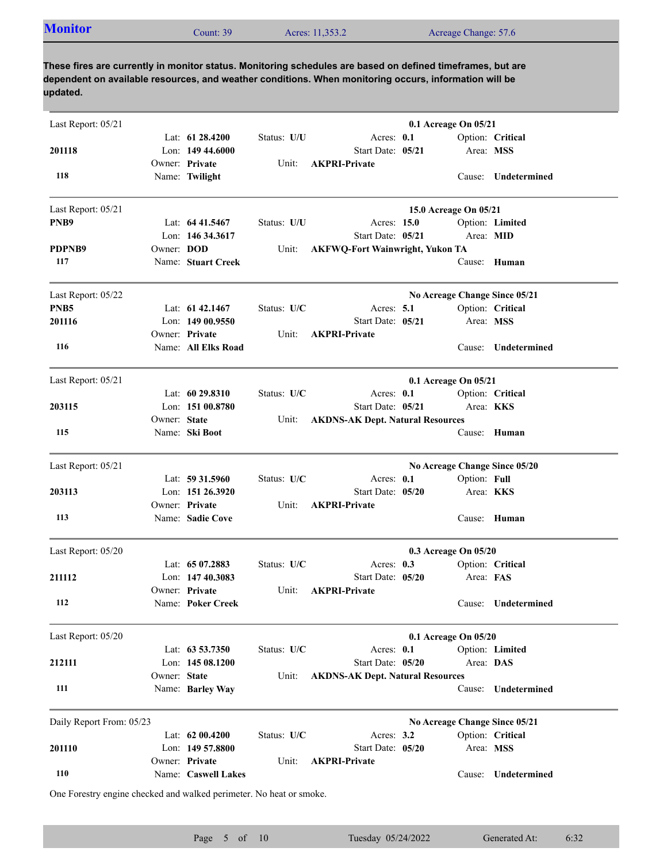| <b>Monitor</b><br>Acres: 11,353.2<br>Count: $39°$ | Acreage Change: 57.6 |
|---------------------------------------------------|----------------------|
|---------------------------------------------------|----------------------|

| Last Report: 05/21       |              |                                         |             |                                                             | 0.1 Acreage On 05/21          |                  |                     |
|--------------------------|--------------|-----------------------------------------|-------------|-------------------------------------------------------------|-------------------------------|------------------|---------------------|
| 201118                   |              | Lat: $61\,28.4200$<br>Lon: $14944.6000$ | Status: U/U | Acres: 0.1<br>Start Date: 05/21                             |                               | Area: MSS        | Option: Critical    |
| 118                      |              | Owner: Private<br>Name: Twilight        | Unit:       | <b>AKPRI-Private</b>                                        |                               |                  | Cause: Undetermined |
| Last Report: 05/21       |              |                                         |             |                                                             | 15.0 Acreage On 05/21         |                  |                     |
| PNB9                     |              | Lat: $6441.5467$                        | Status: U/U | Acres: 15.0                                                 |                               |                  | Option: Limited     |
| PDPNB9                   | Owner: DOD   | Lon: 146 34.3617                        | Unit:       | Start Date: 05/21<br><b>AKFWQ-Fort Wainwright, Yukon TA</b> |                               | Area: MID        |                     |
| 117                      |              | Name: Stuart Creek                      |             |                                                             |                               |                  | Cause: Human        |
| Last Report: 05/22       |              |                                         |             |                                                             | No Acreage Change Since 05/21 |                  |                     |
| PNB <sub>5</sub>         |              | Lat: 61 42.1467                         | Status: U/C | Acres: $5.1$                                                |                               |                  | Option: Critical    |
| 201116                   |              | Lon: $14900.9550$<br>Owner: Private     | Unit:       | Start Date: 05/21<br><b>AKPRI-Private</b>                   |                               | Area: MSS        |                     |
| 116                      |              | Name: All Elks Road                     |             |                                                             |                               | Cause:           | Undetermined        |
| Last Report: 05/21       |              |                                         |             |                                                             | 0.1 Acreage On 05/21          |                  |                     |
|                          |              | Lat: $6029.8310$                        | Status: U/C | Acres: $0.1$                                                |                               |                  | Option: Critical    |
| 203115                   |              | Lon: 151 00.8780                        |             | Start Date: 05/21                                           |                               | Area: KKS        |                     |
| 115                      | Owner: State | Name: Ski Boot                          | Unit:       | <b>AKDNS-AK Dept. Natural Resources</b>                     |                               | Cause:           | Human               |
| Last Report: 05/21       |              |                                         |             |                                                             | No Acreage Change Since 05/20 |                  |                     |
|                          |              | Lat: $59\,31.5960$                      | Status: U/C | Acres: 0.1                                                  |                               | Option: Full     |                     |
| 203113                   |              | Lon: $151\,26.3920$<br>Owner: Private   | Unit:       | Start Date: 05/20<br><b>AKPRI-Private</b>                   |                               | Area: <b>KKS</b> |                     |
| 113                      |              | Name: Sadie Cove                        |             |                                                             |                               |                  | Cause: Human        |
| Last Report: 05/20       |              |                                         |             |                                                             | 0.3 Acreage On 05/20          |                  |                     |
|                          |              | Lat: $6507.2883$                        | Status: U/C | Acres: $0.3$                                                |                               |                  | Option: Critical    |
| 211112                   |              | Lon: $14740.3083$                       |             | Start Date: 05/20                                           |                               | Area: FAS        |                     |
| 112                      |              | Owner: Private<br>Name: Poker Creek     | Unit:       | <b>AKPRI-Private</b>                                        |                               |                  | Cause: Undetermined |
| Last Report: 05/20       |              |                                         |             |                                                             | 0.1 Acreage On 05/20          |                  |                     |
|                          |              | Lat: 63 53.7350                         | Status: U/C | Acres: 0.1                                                  |                               |                  | Option: Limited     |
| 212111                   |              | Lon: 145 08.1200                        |             | Start Date: 05/20                                           |                               | Area: DAS        |                     |
| 111                      | Owner: State | Name: Barley Way                        | Unit:       | <b>AKDNS-AK Dept. Natural Resources</b>                     |                               | Cause:           | Undetermined        |
| Daily Report From: 05/23 |              |                                         |             |                                                             | No Acreage Change Since 05/21 |                  |                     |
|                          |              | Lat: 62 00.4200                         | Status: U/C | Acres: $3.2$                                                |                               |                  | Option: Critical    |
| 201110                   |              | Lon: 149 57.8800                        |             | Start Date: 05/20                                           |                               | Area: MSS        |                     |
| 110                      |              | Owner: Private<br>Name: Caswell Lakes   | Unit:       | <b>AKPRI-Private</b>                                        |                               | Cause:           | Undetermined        |

One Forestry engine checked and walked perimeter. No heat or smoke.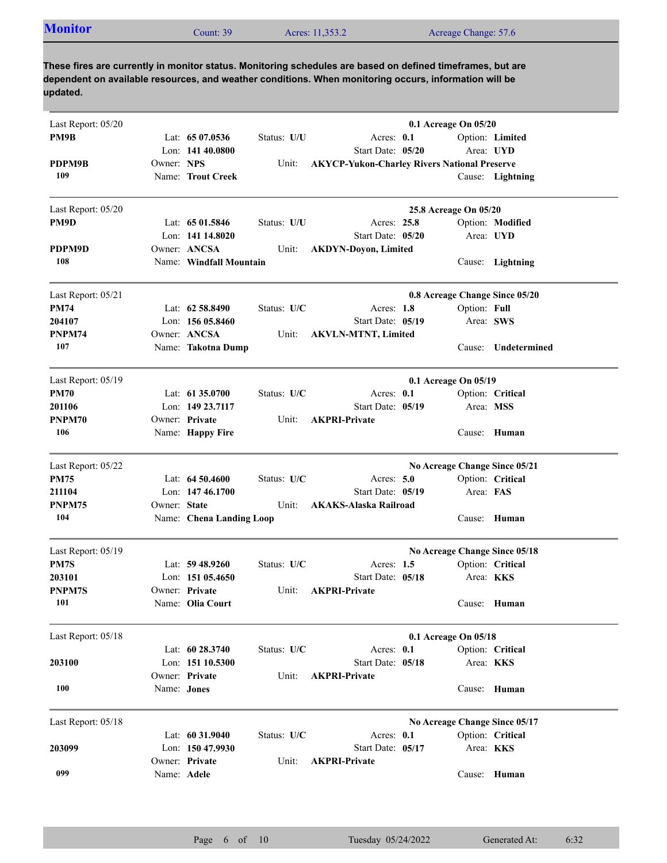| Acreage Change: 57.6<br>Acres: 11,353.2<br>Count: 39 |
|------------------------------------------------------|
|------------------------------------------------------|

| Last Report: 05/20 |              |                          |             |                                                     | 0.1 Acreage On 05/20  |                                |
|--------------------|--------------|--------------------------|-------------|-----------------------------------------------------|-----------------------|--------------------------------|
| PM9B               |              | Lat: $6507.0536$         | Status: U/U | Acres: $0.1$                                        |                       | Option: Limited                |
|                    |              | Lon: $14140.0800$        |             | Start Date: 05/20                                   | Area: UYD             |                                |
| PDPM9B             | Owner: NPS   |                          | Unit:       | <b>AKYCP-Yukon-Charley Rivers National Preserve</b> |                       |                                |
| 109                |              | Name: Trout Creek        |             |                                                     |                       | Cause: Lightning               |
| Last Report: 05/20 |              |                          |             |                                                     | 25.8 Acreage On 05/20 |                                |
| PM9D               |              | Lat: $6501.5846$         | Status: U/U | Acres: 25.8                                         |                       | Option: Modified               |
|                    |              | Lon: 141 14.8020         |             | Start Date: 05/20                                   | Area: UYD             |                                |
| PDPM9D             |              | Owner: ANCSA             | Unit:       | <b>AKDYN-Doyon, Limited</b>                         |                       |                                |
| 108                |              | Name: Windfall Mountain  |             |                                                     |                       | Cause: Lightning               |
| Last Report: 05/21 |              |                          |             |                                                     |                       | 0.8 Acreage Change Since 05/20 |
| <b>PM74</b>        |              | Lat: 62 58.8490          | Status: U/C | Acres: 1.8                                          | Option: Full          |                                |
| 204107             |              | Lon: 156 05.8460         |             | Start Date: 05/19                                   | Area: SWS             |                                |
| PNPM74             |              | Owner: ANCSA             | Unit:       | <b>AKVLN-MTNT, Limited</b>                          |                       |                                |
| 107                |              | Name: Takotna Dump       |             |                                                     | Cause:                | Undetermined                   |
| Last Report: 05/19 |              |                          |             |                                                     | 0.1 Acreage On 05/19  |                                |
| <b>PM70</b>        |              | Lat: $61\,35.0700$       | Status: U/C | Acres: $0.1$                                        |                       | Option: Critical               |
| 201106             |              | Lon: 149 23.7117         |             | Start Date: 05/19                                   | Area: MSS             |                                |
| PNPM70             |              | Owner: Private           | Unit:       | <b>AKPRI-Private</b>                                |                       |                                |
| 106                |              | Name: Happy Fire         |             |                                                     | Cause:                | Human                          |
| Last Report: 05/22 |              |                          |             |                                                     |                       | No Acreage Change Since 05/21  |
| PM75               |              | Lat: $64\,50.4600$       | Status: U/C | Acres: $5.0$                                        |                       | Option: Critical               |
| 211104             |              | Lon: $14746.1700$        |             | Start Date: 05/19                                   | Area: FAS             |                                |
| PNPM75             | Owner: State |                          | Unit:       | <b>AKAKS-Alaska Railroad</b>                        |                       |                                |
| 104                |              | Name: Chena Landing Loop |             |                                                     | Cause:                | Human                          |
| Last Report: 05/19 |              |                          |             |                                                     |                       | No Acreage Change Since 05/18  |
| PM7S               |              | Lat: $59\,48.9260$       | Status: U/C | Acres: $1.5$                                        |                       | Option: Critical               |
| 203101             |              | Lon: $15105.4650$        |             | Start Date: 05/18                                   | Area: <b>KKS</b>      |                                |
| PNPM7S             |              | Owner: Private           | Unit:       | <b>AKPRI-Private</b>                                |                       |                                |
| 101                |              | Name: Olia Court         |             |                                                     |                       | Cause: Human                   |
| Last Report: 05/18 |              |                          |             |                                                     | 0.1 Acreage On 05/18  |                                |
|                    |              | Lat: 60 28.3740          | Status: U/C | Acres: 0.1                                          |                       | Option: Critical               |
| 203100             |              | Lon: 151 10.5300         |             | Start Date: 05/18                                   | Area: KKS             |                                |
|                    |              | Owner: Private           | Unit:       | <b>AKPRI-Private</b>                                |                       |                                |
| 100                | Name: Jones  |                          |             |                                                     |                       | Cause: Human                   |
| Last Report: 05/18 |              |                          |             |                                                     |                       | No Acreage Change Since 05/17  |
|                    |              | Lat: 60 31.9040          | Status: U/C | Acres: 0.1                                          |                       | Option: Critical               |
| 203099             |              | Lon: 150 47.9930         |             | Start Date: 05/17                                   | Area: KKS             |                                |
|                    |              | Owner: Private           | Unit:       | <b>AKPRI-Private</b>                                |                       |                                |
| 099                | Name: Adele  |                          |             |                                                     |                       | Cause: Human                   |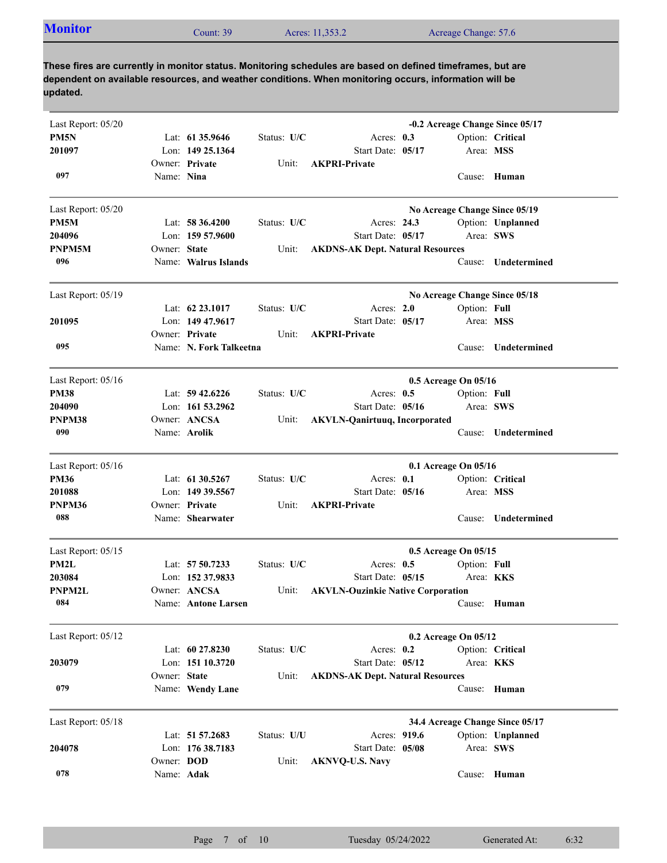| <b>Monitor</b> | Count: 39 | Acres: 11,353.2 | Acreage Change: 57.6 |
|----------------|-----------|-----------------|----------------------|
|                |           |                 |                      |

| Last Report: 05/20 |              |                         |             |                                          |                      |                  | -0.2 Acreage Change Since 05/17 |
|--------------------|--------------|-------------------------|-------------|------------------------------------------|----------------------|------------------|---------------------------------|
| PM <sub>5N</sub>   |              | Lat: 61 35.9646         | Status: U/C | Acres: $0.3$                             |                      |                  | Option: Critical                |
| 201097             |              | Lon: 149 25.1364        |             | Start Date: 05/17                        |                      | Area: MSS        |                                 |
|                    |              | Owner: Private          | Unit:       | <b>AKPRI-Private</b>                     |                      |                  |                                 |
| 097                | Name: Nina   |                         |             |                                          |                      |                  | Cause: Human                    |
|                    |              |                         |             |                                          |                      |                  |                                 |
| Last Report: 05/20 |              |                         |             |                                          |                      |                  | No Acreage Change Since 05/19   |
| PM5M               |              | Lat: $58\,36.4200$      | Status: U/C | Acres: 24.3                              |                      |                  | Option: Unplanned               |
| 204096             |              | Lon: $15957.9600$       |             | Start Date: 05/17                        |                      | Area: SWS        |                                 |
| PNPM5M             | Owner: State |                         | Unit:       | <b>AKDNS-AK Dept. Natural Resources</b>  |                      |                  |                                 |
| 096                |              | Name: Walrus Islands    |             |                                          |                      | Cause:           | Undetermined                    |
|                    |              |                         |             |                                          |                      |                  |                                 |
| Last Report: 05/19 |              |                         |             |                                          |                      |                  | No Acreage Change Since 05/18   |
|                    |              | Lat: $62\,23.1017$      | Status: U/C | Acres: $2.0$                             |                      | Option: Full     |                                 |
| 201095             |              | Lon: 149 47.9617        |             | Start Date: 05/17                        |                      | Area: MSS        |                                 |
|                    |              | Owner: Private          | Unit:       | <b>AKPRI-Private</b>                     |                      |                  |                                 |
| 095                |              | Name: N. Fork Talkeetna |             |                                          |                      | Cause:           | <b>Undetermined</b>             |
| Last Report: 05/16 |              |                         |             |                                          | 0.5 Acreage On 05/16 |                  |                                 |
| <b>PM38</b>        |              | Lat: $59\,42.6226$      | Status: U/C | Acres: $0.5$                             |                      | Option: Full     |                                 |
| 204090             |              | Lon: 161 53.2962        |             | Start Date: 05/16                        |                      | Area: SWS        |                                 |
| PNPM38             |              | Owner: ANCSA            | Unit:       | <b>AKVLN-Qanirtuuq, Incorporated</b>     |                      |                  |                                 |
| 090                |              | Name: Arolik            |             |                                          |                      | Cause:           | Undetermined                    |
|                    |              |                         |             |                                          |                      |                  |                                 |
| Last Report: 05/16 |              |                         |             |                                          | 0.1 Acreage On 05/16 |                  |                                 |
| <b>PM36</b>        |              | Lat: 61 30.5267         | Status: U/C | Acres: 0.1                               |                      |                  | Option: Critical                |
| 201088             |              | Lon: 149 39.5567        |             | Start Date: 05/16                        |                      | Area: MSS        |                                 |
| PNPM36             |              | Owner: Private          | Unit:       | <b>AKPRI-Private</b>                     |                      |                  |                                 |
| 088                |              | Name: Shearwater        |             |                                          |                      | Cause:           | Undetermined                    |
| Last Report: 05/15 |              |                         |             |                                          | 0.5 Acreage On 05/15 |                  |                                 |
| PM2L               |              | Lat: 57 50.7233         | Status: U/C | Acres: $0.5$                             |                      | Option: Full     |                                 |
| 203084             |              | Lon: 152 37.9833        |             | Start Date: 05/15                        |                      | Area: <b>KKS</b> |                                 |
| PNPM2L             |              | Owner: ANCSA            | Unit:       |                                          |                      |                  |                                 |
| 084                |              |                         |             | <b>AKVLN-Ouzinkie Native Corporation</b> |                      |                  |                                 |
|                    |              | Name: Antone Larsen     |             |                                          |                      |                  | Cause: Human                    |
| Last Report: 05/12 |              |                         |             |                                          | 0.2 Acreage On 05/12 |                  |                                 |
|                    |              | Lat: 60 27.8230         | Status: U/C | Acres: $0.2$                             |                      |                  | Option: Critical                |
| 203079             |              | Lon: 151 10.3720        |             | Start Date: 05/12                        |                      | Area: KKS        |                                 |
|                    | Owner: State |                         | Unit:       | <b>AKDNS-AK Dept. Natural Resources</b>  |                      |                  |                                 |
| 079                |              | Name: Wendy Lane        |             |                                          |                      |                  | Cause: Human                    |
|                    |              |                         |             |                                          |                      |                  |                                 |
| Last Report: 05/18 |              |                         |             |                                          |                      |                  | 34.4 Acreage Change Since 05/17 |
|                    |              | Lat: 51 57.2683         | Status: U/U | Acres: 919.6                             |                      |                  | Option: Unplanned               |
| 204078             |              | Lon: 176 38.7183        |             | Start Date: 05/08                        |                      | Area: SWS        |                                 |
|                    | Owner: DOD   |                         | Unit:       | <b>AKNVQ-U.S. Navy</b>                   |                      |                  |                                 |
| 078                | Name: Adak   |                         |             |                                          |                      |                  | Cause: Human                    |
|                    |              |                         |             |                                          |                      |                  |                                 |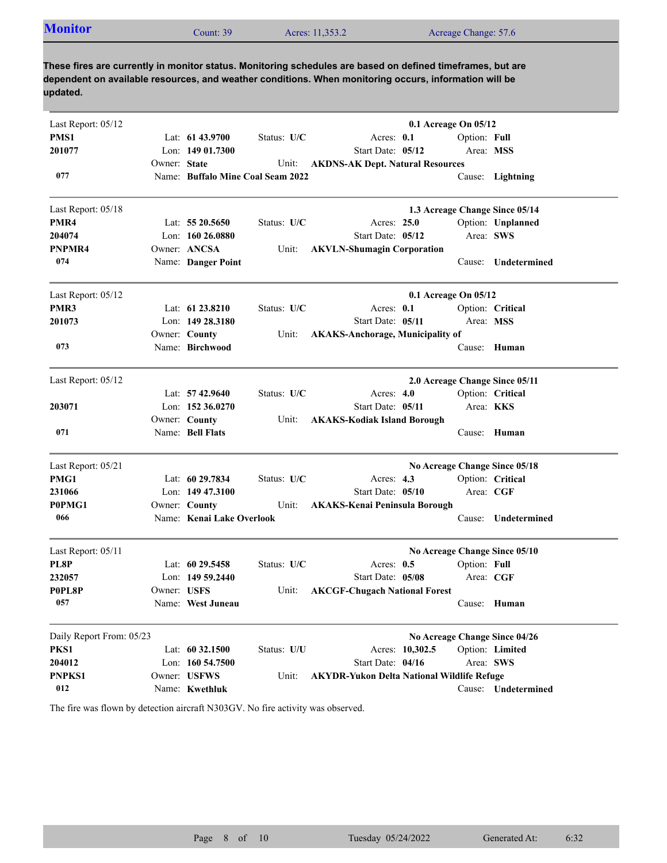| <b>Monitor</b> | Count: 39 | Acres: 11,353.2 | Acreage Change: 57.6 |
|----------------|-----------|-----------------|----------------------|

| Last Report: 05/12       |              |                                   |             |                                                   |                 | 0.1 Acreage On 05/12 |                                |
|--------------------------|--------------|-----------------------------------|-------------|---------------------------------------------------|-----------------|----------------------|--------------------------------|
| PMS1                     |              | Lat: 61 43.9700                   | Status: U/C | Acres: 0.1                                        |                 | Option: Full         |                                |
| 201077                   |              | Lon: $14901.7300$                 |             | Start Date: 05/12                                 |                 | Area: MSS            |                                |
|                          | Owner: State |                                   | Unit:       | <b>AKDNS-AK Dept. Natural Resources</b>           |                 |                      |                                |
| 077                      |              | Name: Buffalo Mine Coal Seam 2022 |             |                                                   |                 |                      | Cause: Lightning               |
| Last Report: 05/18       |              |                                   |             |                                                   |                 |                      | 1.3 Acreage Change Since 05/14 |
| PMR4                     |              | Lat: $5520.5650$                  | Status: U/C | Acres: 25.0                                       |                 |                      | Option: Unplanned              |
| 204074                   |              | Lon: $16026.0880$                 |             | Start Date: 05/12                                 |                 | Area: SWS            |                                |
| PNPMR4                   |              | Owner: ANCSA                      | Unit:       | <b>AKVLN-Shumagin Corporation</b>                 |                 |                      |                                |
| 074                      |              | Name: Danger Point                |             |                                                   |                 | Cause:               | Undetermined                   |
| Last Report: 05/12       |              |                                   |             |                                                   |                 | 0.1 Acreage On 05/12 |                                |
| PMR3                     |              | Lat: $61\,23.8210$                | Status: U/C | Acres: 0.1                                        |                 |                      | Option: Critical               |
| 201073                   |              | Lon: $14928.3180$                 |             | Start Date: 05/11                                 |                 | Area: MSS            |                                |
|                          |              | Owner: County                     | Unit:       | <b>AKAKS-Anchorage, Municipality of</b>           |                 |                      |                                |
| 073                      |              | Name: Birchwood                   |             |                                                   |                 |                      | Cause: Human                   |
| Last Report: 05/12       |              |                                   |             |                                                   |                 |                      | 2.0 Acreage Change Since 05/11 |
|                          |              | Lat: $57\,42.9640$                | Status: U/C | Acres: $4.0$                                      |                 |                      | Option: Critical               |
| 203071                   |              | Lon: 152 36.0270                  |             | Start Date: 05/11                                 |                 | Area: KKS            |                                |
|                          |              | Owner: County                     | Unit:       | <b>AKAKS-Kodiak Island Borough</b>                |                 |                      |                                |
| 071                      |              | Name: Bell Flats                  |             |                                                   |                 |                      | Cause: Human                   |
| Last Report: 05/21       |              |                                   |             |                                                   |                 |                      | No Acreage Change Since 05/18  |
| PMG1                     |              | Lat: 60 29.7834                   | Status: U/C | Acres: $4.3$                                      |                 |                      | Option: Critical               |
| 231066                   |              | Lon: 149 47.3100                  |             | Start Date: 05/10                                 |                 | Area: CGF            |                                |
| P0PMG1                   |              | Owner: County                     | Unit:       | <b>AKAKS-Kenai Peninsula Borough</b>              |                 |                      |                                |
| 066                      |              | Name: Kenai Lake Overlook         |             |                                                   |                 | Cause:               | Undetermined                   |
| Last Report: 05/11       |              |                                   |             |                                                   |                 |                      | No Acreage Change Since 05/10  |
| PL8P                     |              | Lat: $60\,29.5458$                | Status: U/C | Acres: $0.5$                                      |                 | Option: Full         |                                |
| 232057                   |              | Lon: $14959.2440$                 |             | Start Date: 05/08                                 |                 | Area: CGF            |                                |
| P0PL8P                   | Owner: USFS  |                                   | Unit:       | <b>AKCGF-Chugach National Forest</b>              |                 |                      |                                |
| 057                      |              | Name: West Juneau                 |             |                                                   |                 |                      | Cause: Human                   |
| Daily Report From: 05/23 |              |                                   |             |                                                   |                 |                      | No Acreage Change Since 04/26  |
| PKS1                     |              | Lat: 60 32.1500                   | Status: U/U |                                                   | Acres: 10,302.5 |                      | Option: Limited                |
| 204012                   |              | Lon: 160 54.7500                  |             | Start Date: 04/16                                 |                 | Area: SWS            |                                |
| PNPKS1                   |              | Owner: USFWS                      | Unit:       | <b>AKYDR-Yukon Delta National Wildlife Refuge</b> |                 |                      |                                |
| 012                      |              | Name: Kwethluk                    |             |                                                   |                 |                      | Cause: Undetermined            |

The fire was flown by detection aircraft N303GV. No fire activity was observed.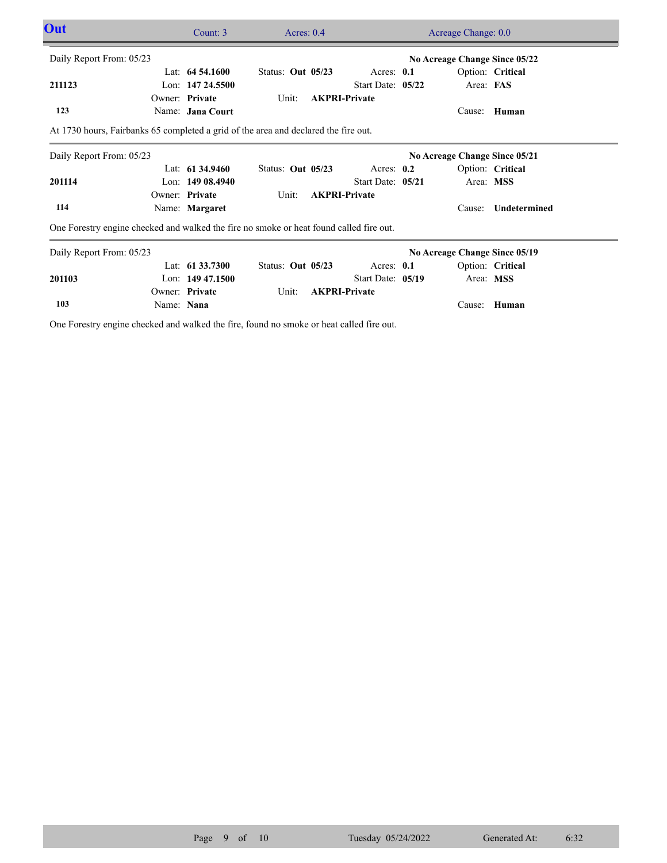| Out                                                                                     |            | Count: 3           | Acres: $0.4$        |  | Acreage Change: 0.0  |                               |           |                               |  |  |
|-----------------------------------------------------------------------------------------|------------|--------------------|---------------------|--|----------------------|-------------------------------|-----------|-------------------------------|--|--|
| Daily Report From: 05/23                                                                |            |                    |                     |  |                      |                               |           | No Acreage Change Since 05/22 |  |  |
|                                                                                         |            | Lat: $64,54,1600$  | Status: Out $05/23$ |  | Acres: 0.1           |                               |           | Option: Critical              |  |  |
| 211123                                                                                  |            | Lon: 147 24.5500   |                     |  | Start Date: 05/22    |                               | Area: FAS |                               |  |  |
|                                                                                         |            | Owner: Private     | Unit:               |  | <b>AKPRI-Private</b> |                               |           |                               |  |  |
| 123                                                                                     |            | Name: Jana Court   |                     |  |                      |                               | Cause:    | Human                         |  |  |
| At 1730 hours, Fairbanks 65 completed a grid of the area and declared the fire out.     |            |                    |                     |  |                      |                               |           |                               |  |  |
| Daily Report From: 05/23                                                                |            |                    |                     |  |                      | No Acreage Change Since 05/21 |           |                               |  |  |
|                                                                                         |            | Lat: $61\,34.9460$ | Status: Out 05/23   |  | Acres: $0.2$         |                               |           | Option: Critical              |  |  |
| 201114                                                                                  |            | Lon: $14908.4940$  |                     |  | Start Date: 05/21    |                               | Area: MSS |                               |  |  |
|                                                                                         |            | Owner: Private     | Unit:               |  | <b>AKPRI-Private</b> |                               |           |                               |  |  |
| 114                                                                                     |            | Name: Margaret     |                     |  |                      |                               | Cause:    | Undetermined                  |  |  |
| One Forestry engine checked and walked the fire no smoke or heat found called fire out. |            |                    |                     |  |                      |                               |           |                               |  |  |
| Daily Report From: 05/23                                                                |            |                    |                     |  |                      | No Acreage Change Since 05/19 |           |                               |  |  |
|                                                                                         |            | Lat: $61\,33.7300$ | Status: Out 05/23   |  | Acres: $0.1$         |                               |           | Option: Critical              |  |  |
| 201103                                                                                  |            | Lon: $14947.1500$  |                     |  | Start Date: 05/19    |                               | Area: MSS |                               |  |  |
|                                                                                         |            | Owner: Private     | Unit:               |  | <b>AKPRI-Private</b> |                               |           |                               |  |  |
| 103                                                                                     | Name: Nana |                    |                     |  |                      |                               | Cause:    | Human                         |  |  |
|                                                                                         |            |                    |                     |  |                      |                               |           |                               |  |  |

One Forestry engine checked and walked the fire, found no smoke or heat called fire out.